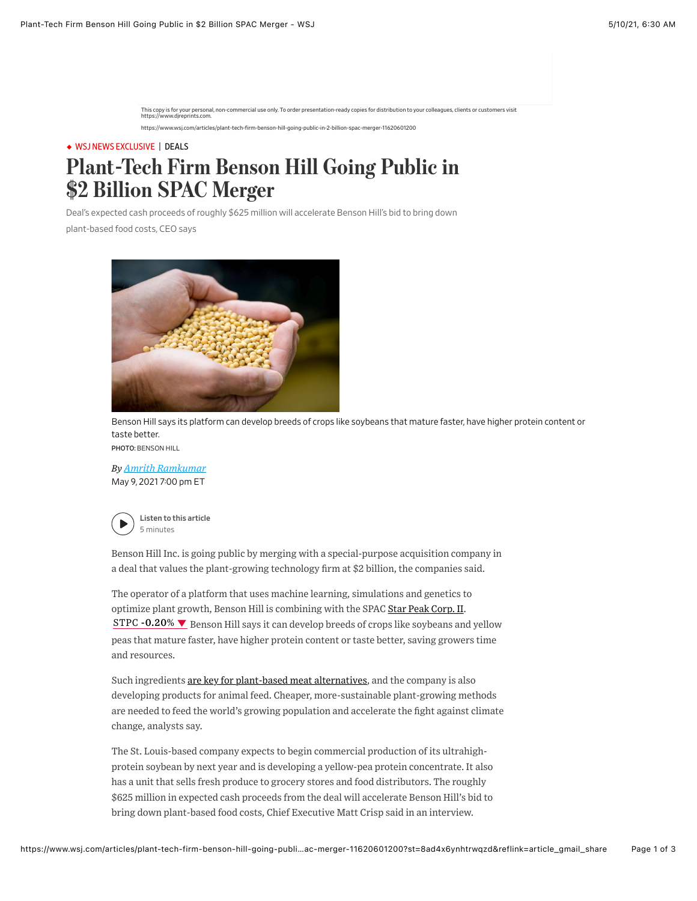This copy is for your personal, non-commercial use only. To order presentation-ready copies for distribution to your colleagues, clients or customers visit https://www.djreprints.com.

https://www.wsj.com/articles/plant-tech-firm-benson-hill-going-public-in-2-billion-spac-merger-11620601200

## ◆ WSJ NEWS EXCLUSIVE | [DEALS](https://www.wsj.com/news/types/deals-deal-makers?mod=breadcrumb) Plant-Tech Firm Benson Hill Going Public in \$2 Billion SPAC Merger

Deal's expected cash proceeds of roughly \$625 million will accelerate Benson Hill's bid to bring down

plant-based food costs, CEO says



Benson Hill says its platform can develop breeds of crops like soybeans that mature faster, have higher protein content or taste better. PHOTO: BENSON HILL

*By Amrith Ramkumar* May 9, 2021 7:00 pm ET



Benson Hill Inc. is going public by merging with a special-purpose acquisition company in a deal that values the plant-growing technology firm at \$2 billion, the companies said.

The operator of a platform that uses machine learning, simulations and genetics to optimize plant growth, Benson Hill is combining with the SPAC [Star Peak Corp. II](https://www.wsj.com/market-data/quotes/STPC).  $STPC -0.20\%$  V Benson Hill says it can develop breeds of crops like soybeans and yellow [peas that mature fas](https://www.wsj.com/market-data/quotes/STPC?mod=chiclets)ter, have higher protein content or taste better, saving growers time and resources.

Such ingredients [are key for plant-based meat alternatives,](https://www.wsj.com/articles/beyond-meat-signs-supply-deals-with-mcdonalds-yum-11614296251?mod=article_inline) and the company is also developing products for animal feed. Cheaper, more-sustainable plant-growing methods are needed to feed the world's growing population and accelerate the fight against climate change, analysts say.

The St. Louis-based company expects to begin commercial production of its ultrahighprotein soybean by next year and is developing a yellow-pea protein concentrate. It also has a unit that sells fresh produce to grocery stores and food distributors. The roughly \$625 million in expected cash proceeds from the deal will accelerate Benson Hill's bid to bring down plant-based food costs, Chief Executive Matt Crisp said in an interview.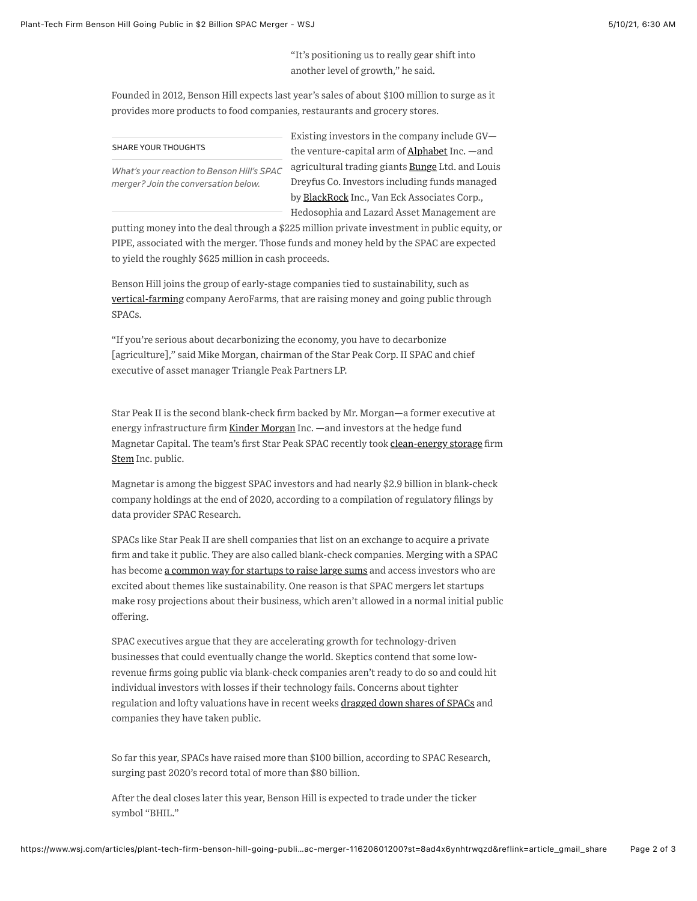"It's positioning us to really gear shift into another level of growth," he said.

Founded in 2012, Benson Hill expects last year's sales of about \$100 million to surge as it provides more products to food companies, restaurants and grocery stores.

|                                                                                    | Existing investors in the company include GV-           |
|------------------------------------------------------------------------------------|---------------------------------------------------------|
| SHARE YOUR THOUGHTS                                                                | the venture-capital arm of <b>Alphabet</b> Inc. - and   |
| What's your reaction to Benson Hill's SPAC<br>merger? Join the conversation below. | agricultural trading giants <b>Bunge</b> Ltd. and Louis |
|                                                                                    | Dreyfus Co. Investors including funds managed           |
|                                                                                    | .                                                       |

by [BlackRock](https://www.wsj.com/market-data/quotes/BLK) Inc., Van Eck Associates Corp., Hedosophia and Lazard Asset Management are

putting money into the deal through a \$225 million private investment in public equity, or PIPE, associated with the merger. Those funds and money held by the SPAC are expected to yield the roughly \$625 million in cash proceeds.

Benson Hill joins the group of early-stage companies tied to sustainability, such as [vertical-farming](https://www.wsj.com/articles/vertical-farms-fill-a-tall-order-11595649662?mod=article_inline) company AeroFarms, that are raising money and going public through SPACs.

"If you're serious about decarbonizing the economy, you have to decarbonize [agriculture]," said Mike Morgan, chairman of the Star Peak Corp. II SPAC and chief executive of asset manager Triangle Peak Partners LP.

Star Peak II is the second blank-check firm backed by Mr. Morgan—a former executive at energy infrastructure firm [Kinder Morgan](https://www.wsj.com/market-data/quotes/KMI) Inc. —and investors at the hedge fund Magnetar Capital. The team's first Star Peak SPAC recently took [clean-energy storage](https://www.wsj.com/articles/investors-turn-to-spacs-for-clean-energy-bets-11607702418?mod=article_inline) firm [Stem](https://www.wsj.com/market-data/quotes/STEM) Inc. public.

Magnetar is among the biggest SPAC investors and had nearly \$2.9 billion in blank-check company holdings at the end of 2020, according to a compilation of regulatory filings by data provider SPAC Research.

SPACs like Star Peak II are shell companies that list on an exchange to acquire a private firm and take it public. They are also called blank-check companies. Merging with a SPAC has become [a common way for startups to raise large sums](https://www.wsj.com/articles/when-spacs-attack-a-new-force-is-invading-wall-street-11611378007?mod=article_inline) and access investors who are excited about themes like sustainability. One reason is that SPAC mergers let startups make rosy projections about their business, which aren't allowed in a normal initial public offering.

SPAC executives argue that they are accelerating growth for technology-driven businesses that could eventually change the world. Skeptics contend that some lowrevenue firms going public via blank-check companies aren't ready to do so and could hit individual investors with losses if their technology fails. Concerns about tighter regulation and lofty valuations have in recent weeks [dragged down shares of SPACs](https://www.wsj.com/articles/spac-hot-streak-put-on-ice-by-regulatory-warnings-11618565403?mod=article_inline) and companies they have taken public.

So far this year, SPACs have raised more than \$100 billion, according to SPAC Research, surging past 2020's record total of more than \$80 billion.

After the deal closes later this year, Benson Hill is expected to trade under the ticker symbol "BHIL."